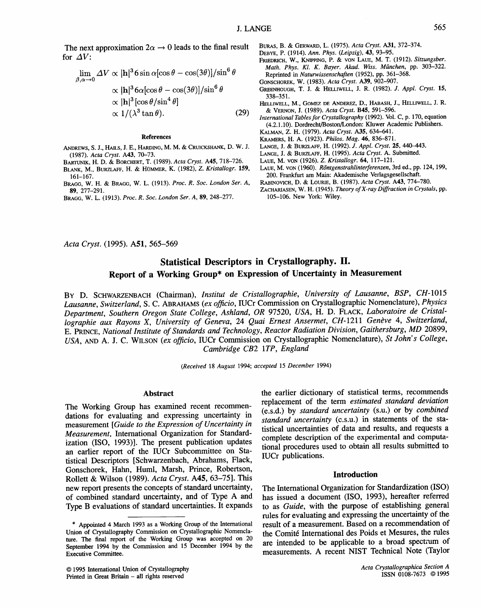The next approximation  $2\alpha \rightarrow 0$  leads to the final result for  $\Delta V$ :

$$
\lim_{\beta,\alpha \to 0} \Delta V \propto |\mathbf{h}|^3 6 \sin \alpha [\cos \theta - \cos(3\theta)] / \sin^6 \theta
$$
  
 
$$
\propto |\mathbf{h}|^3 6 \alpha [\cos \theta - \cos(3\theta)] / \sin^6 \theta
$$
  
 
$$
\propto |\mathbf{h}|^3 [\cos \theta / \sin^4 \theta]
$$
  
 
$$
\propto 1 / (\lambda^3 \tan \theta).
$$
 (29)

#### **References**

ANDREWS, S. J., HAILS, J. E., HARDING, M. M. & CRUICKSHANK, D. W. J. (1987). *Acta Cryst.* A43, 70-73.

BARTUNIK, H. D. & BORCHERT, T. (1989). *Acta Cryst.* A45, 718-726.

- BLANK, M., BURZLAFF, H. & HOMMER, K. (1982), *Z. Kristallogr.* 159, 161-167.
- BRAGG, W. H. & BRAGG, W. L. (1913). *Proc. R. Soc. London Set. A,*  **89,** 277-291.

BRAGG, W. L. (1913). *Proc. R. Soc. London Set. A,* 89, 248-277.

- BURAS, B. & GERWARD, L. (1975). *Acta Cryst.* A31, 372-374.
- DEBYE, P. (1914). *Ann. Phys. (Leipzig),* 43, 93-95.
- FRIEDRICrl, W., KNIPPING, P. & YON LAUE, M. T. (1912). *Sitzungsber. Math. Phys. Kl. K. Bayer. Akad. Wiss. Manchen,* pp. 303-322. Reprinted in *Naturwissenschaflen* (1952), pp. 361-368. GONSCHOREK, W. (1983). *Acta Cryst.* A39, 902-907.
- GREENHOUGH, T. J. HELLIWELL, J. R. (1982). *J. Appl. Cryst.* 15, 338-351.
- HELLIWELL, M., GOMEZ DE ANDEREZ, D., HABASH, J., HELLIWELL, J. R. & VERNON, J. (1989). *Acta Cryst.* B45, 591-596.

*International Tables for Crystallography* (1992). Vol. C, p. 170, equation (4.2.1.10). Dordrecht/Boston/London: Kluwer Academic PubLishers. KALMAN, Z. H. (1979). *Acta Cryst.* A35, 634-641.

- KRAMERS, H. A. (1923). *Philos. Mag.* 46, 836-871.
- LANGE, J. & BURZLAFF, H. (1992). *J. Appl. Cryst.* 25, 440-443.
- LANGE, J. & BURZLAFF, H. (1995). *Acta Cryst.* A. Submitted.
- LAUE, M. VON (1926). *Z. Kristallogr.* 64, 117-121.
- LAUE, M. VON (1960). *R6ntgenstrahlinterferenzen,* 3rd ed., pp. 124, 199, 200. Frankfurt am Main: Akademische Verlagsgesellschaft.
- RABINOWCH, D. & LOURIE, B. (1987). *Acta Cryst.* A43, 774-780.
- ZACHARIASEN, W. H. (1945). *Theory of X-ray Diffraction in Crystals,* pp. 105-106. New York: Wiley.

*Acta Cryst.* (1995). A51, 565-569

# **Statistical Descriptors in Crystallography. II. Report of a Working Group\* on Expression of Uncertainty in Measurement**

BY D. SCHWARZENBACH (Chairman), *Institut de Cristallographie, University of Lausanne, BSP,* CH-1015 *Lausanne, Switzerland,* S. C. ABRAHAMS *(ex officio,* IUCr Commission on Crystallographic Nomenclature), *Physics Department, Southern Oregon State College, Ashland, OR* 97520, *USA,* H. D. FLACK, *Laboratoire de Cristallographie aux Rayons X, University of Geneva,* 24 *Quai Ernest Ansermet,* CH-1211 *Gendve* 4, *Switzerland,*  E. PRINCE, *National Institute of Standards and Technology, Reactor Radiation Division, Gaithersburg, MD* 20899, *USA,* AND A. J. C. WILSON *(ex officio,* IUCr Commission on Crystallographic Nomenclature), *St John's College, Cambridge CB2 1TP, England* 

*(Received* 18 *August* 1994; *accepted* 15 *December* 1994)

## **Abstract**

The Working Group has examined recent recommendations for evaluating and expressing uncertainty in measurement *[Guide to the Expression of Uncertainty in Measurement,* International Organization for Standardization (ISO, 1993)]. The present publication updates an earlier report of the IUCr Subcommittee on Statistical Descriptors [Schwarzenbach, Abrahams, Flack, Gonschorek, Hahn, Huml, Marsh, Prince, Robertson, Rollett & Wilson (1989). *Acta Cryst.* A45, 63-75]. This new report presents the concepts of standard uncertainty, of combined standard uncertainty, and of Type A and Type B evaluations of standard uncertainties. It expands the earlier dictionary of statistical terms, recommends replacement of the term *estimated standard deviation*  (e.s.d.) by *standard uncertainty* (s.u.) or by *combined standard uncertainty* (c.s.u.) in statements of the statistical uncertainties of data and results, and requests a complete description of the experimental and computational procedures used to obtain all results submitted to IUCr publications.

#### **Introduction**

The Intemational Organization for Standardization (ISO) **has** issued a document (ISO, 1993), hereafter referred to as *Guide,* **with the** purpose of establishing general rules for evaluating and expressing the uncertainty of the result of a measurement. Based on a recommendation of the Comit6 International des Poids et Mesures, the rules **are** intended to be applicable to a broad spectrum of measurements. A recent NIST Technical Note (Taylor

<sup>\*</sup> Appointed 4 March 1993 as a Working Group of the International Union of Crystallography Commission on Crystallographic Nomenclature. The final report of the Working Group was accepted on 20 **September** 1994 by the Commission and 15 December 1994 by the Executive Committee.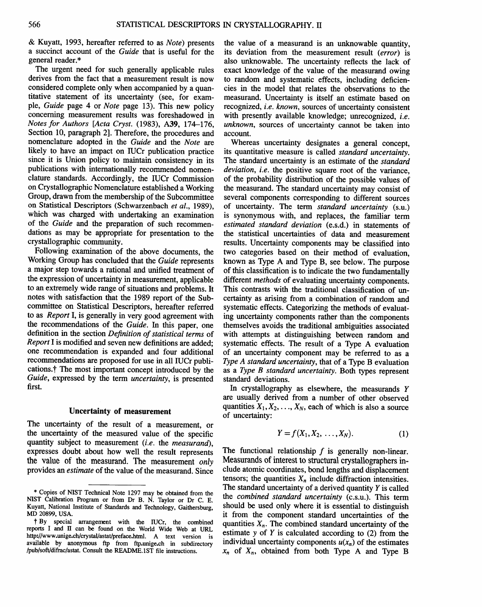& Kuyatt, 1993, hereafter referred to as *Note)* presents a succinct account of the *Guide* that is useful for the general reader.\*

The urgent need for such generally applicable rules derives from the fact that a measurement result is now considered complete only when accompanied by a quantitative statement of its uncertainty (see, for example, *Guide* page 4 or *Note* page 13). This new policy concerning measurement results was foreshadowed in *Notes for Authors [Acta Cryst.* (1983), A39, 174-176, Section 10, paragraph 2]. Therefore, the procedures and nomenclature adopted in the *Guide* and the *Note are*  likely to have an impact on IUCr publication practice since it is Union policy to maintain consistency in its publications with internationally recommended nomenclature standards. Accordingly, the IUCr Commission on Crystallographic Nomenclature established a Working Group, drawn from the membership of the Subcommittee on Statistical Descriptors (Schwarzenbach *et al.,* 1989), which was charged with undertaking an examination of the *Guide* and the preparation of such recommendations as may be appropriate for presentation to the crystallographic community.

Following examination of the above documents, the Working Group has concluded that the *Guide* represents a major step towards a rational and unified treatment of the expression of uncertainty in measurement, applicable to an extremely wide range of situations and problems. It notes with satisfaction that the 1989 report of the Subcommittee on Statistical Descriptors, hereafter referred to as *Report* I, is generally in very good agreement with the recommendations of the *Guide.* In this paper, one definition in the section *Definition of statistical terms* of *Report* I is modified and seven new definitions are added; one recommendation is expanded and four additional recommendations are proposed for use in all IUCr publications.<sup>†</sup> The most important concept introduced by the *Guide,* expressed by the term *uncertainty,* is presented first.

## **Uncertainty of measurement**

The uncertainty of the result of a measurement, or the uncertainty of the measured value of the specific quantity subject to measurement *(i.e. the measurand),*  expresses doubt about how well the result represents the value of the measurand. The measurement *only*  provides an *estimate* of the value of the measurand. Since

the value of a measurand is an unknowable quantity, its deviation from the measurement result *(error)* is also unknowable. The uncertainty reflects the lack of exact knowledge of the value of the measurand owing to random and systematic effects, including deficiencies in the model that relates the observations to the measurand. Uncertainty is itself an estimate based on recognized, *i.e. known,* sources of uncertainty consistent with presently available knowledge; unrecognized, *i.e. unknown,* sources of uncertainty cannot be taken into account.

Whereas uncertainty designates a general concept, its quantitative measure is called *standard uncertainty.*  The standard uncertainty is an estimate of the *standard deviation, i.e. the* positive square root of the variance, of the probability distribution of the possible values of the measurand. The standard uncertainty may consist of several components corresponding to different sources of uncertainty. The term *standard uncertainty* (s.u.) is synonymous with, and replaces, the familiar term *estimated standard deviation* (e.s.d.) in statements of the statistical uncertainties of data and measurement results. Uncertainty components may be classified into two categories based on their method of evaluation, known as Type A and Type B, see below. The purpose of this classification is to indicate the two fundamentally different *methods* of evaluating uncertainty components. This contrasts with the traditional classification of uncertainty as arising from a combination of random and systematic effects. Categorizing the methods of evaluating uncertainty components rather than the components themselves avoids the traditional ambiguities associated with attempts at distinguishing between random and systematic effects. The result of a Type A evaluation of an uncertainty component may be referred to as a *Type A standard uncertainty,* that of a Type B evaluation as a *Type B standard uncertainty.* Both types represent standard deviations.

In crystallography as elsewhere, the measurands  $Y$ are usually derived from a number of other observed quantities  $X_1, X_2, \ldots, X_N$ , each of which is also a source of uncertainty:

$$
Y = f(X_1, X_2, \ldots, X_N). \tag{1}
$$

The functional relationship  $f$  is generally non-linear. Measurands of interest to structural crystallographers include atomic coordinates, bond lengths and displacement tensors; the quantities  $X_n$  include diffraction intensities. The standard uncertainty of a derived quantity  $Y$  is called *the combined standard uncertainty* (c.s.u.). This term should be used only where it is essential to distinguish it from the component standard uncertainties of the quantities  $X_n$ . The combined standard uncertainty of the estimate  $y$  of  $Y$  is calculated according to (2) from the individual uncertainty components  $u(x_n)$  of the estimates  $x_n$  of  $X_n$ , obtained from both Type A and Type B

<sup>\*</sup> Copies of NIST Technical Note 1297 may be obtained from the NIST Calibration Program or from Dr B. N. Taylor or Dr C. E. Kuyatt, National Institute of Standards and Technology, Gaithersburg, MD 20899, USA.

t By special arrangement with the IUCr, the combined reports I and I1 can be found on the World Wide Web **at** URL http://www.unige.ch/crystal/astat/preface.html. A text version is available by anonymous ftp from ftp.unige.ch in subdirectory /pub/soft/difrac/astat. Consult the README.1ST file instructions.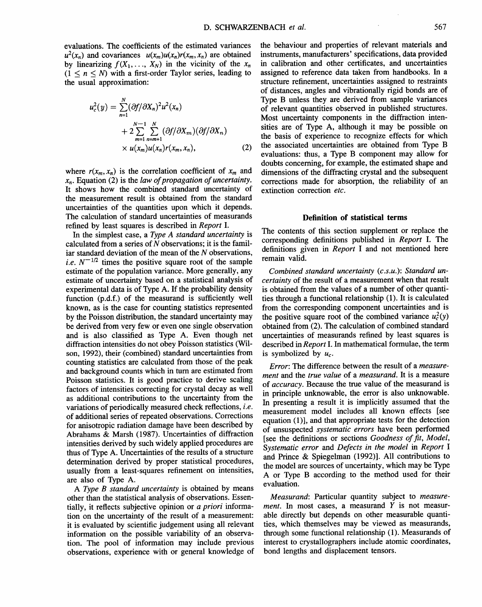evaluations. The coefficients of the estimated variances  $u^2(x_n)$  and covariances  $u(x_m)u(x_n)r(x_m, x_n)$  are obtained by linearizing  $f(X_1, ..., X_N)$  in the vicinity of the  $x_n$  $(1 \le n \le N)$  with a first-order Taylor series, leading to the usual approximation:

$$
u_c^2(y) = \sum_{n=1}^N (\partial f/\partial X_n)^2 u^2(x_n)
$$
  
+ 
$$
2 \sum_{m=1}^{N-1} \sum_{n=m+1}^N (\partial f/\partial X_m)(\partial f/\partial X_n)
$$
  
× 
$$
u(x_m)u(x_n)r(x_m, x_n),
$$
 (2)

where  $r(x_m, x_n)$  is the correlation coefficient of  $x_m$  and  $x_n$ . Equation (2) is the *law of propagation of uncertainty*. It shows how the combined standard uncertainty of the measurement result is obtained from the standard uncertainties of the quantities upon which it depends. The calculation of standard uncertainties of measurands refined by least squares is described in *Report I.* 

In the simplest case, a *Type A standard uncertainty* is calculated from a series of  $N$  observations; it is the familiar standard deviation of the mean of the  $N$  observations, *i.e.*  $N^{-1/2}$  times the positive square root of the sample estimate of the population variance. More generally, any estimate of uncertainty based on a statistical analysis of experimental data is of Type A. If the probability density function (p.d.f.) of the measurand is sufficiently well known, as is the case for counting statistics represented by the Poisson distribution, the standard uncertainty may be derived from very few or even one single observation and is also classified as Type A. Even though net diffraction intensities do not obey Poisson statistics (Wilson, 1992), their (combined) standard uncertainties from counting statistics are calculated from those of the peak and background counts which in turn are estimated from Poisson statistics. It is good practice to derive scaling factors of intensities correcting for crystal decay as well as additional contributions to the uncertainty from the variations of periodically measured check reflections, *i.e.*  of additional series of repeated observations. Corrections for anisotropic radiation damage have been described by Abrahams & Marsh (1987). Uncertainties of diffraction intensities derived by such widely applied procedures are thus of Type A. Uncertainties of the results of a structure determination derived by proper statistical procedures, usually from a least-squares refinement on intensities, are also of Type A.

*A Type B standard uncertainty* is obtained by means other than the statistical analysis of observations. Essentially, it reflects subjective opinion or *a priori* information on the uncertainty of the result of a measurement: it is evaluated by scientific judgement using all relevant information on the possible variability of an observation. The pool of information may include previous observations, experience with or general knowledge of

the behaviour and properties of relevant materials and instruments, manufacturers' specifications, data provided in calibration and other certificates, and uncertainties assigned to reference data taken from handbooks. In a structure refinement, uncertainties assigned to restraints of distances, angles and vibrationally rigid bonds are of Type B unless they are derived from sample variances of relevant quantifies observed in published structures. Most uncertainty components in the diffraction intensities are of Type A, although it may be possible on the basis of experience to recognize effects for which the associated uncertainties are obtained from Type B evaluations: thus, a Type B component may allow for doubts concerning, for example, the estimated shape and dimensions of the diffracting crystal and the subsequent corrections made for absorption, the reliability of an extinction correction *etc.* 

### **Definition of statistical terms**

The contents of this section supplement or replace the corresponding definitions published in *Report I. The*  definitions given in *Report* I and not mentioned here remain valid.

*Combined standard uncertainty (c.s.u.): Standard uncertainty* of the result of a measurement when that result is obtained from the values of a number of other quantities through a functional relationship (1). It is calculated from the corresponding component uncertainties and is the positive square root of the combined variance  $u_c^2(y)$ obtained from (2). The calculation of combined standard uncertainties of measurands refined by least squares is described in *Report* I. In mathematical formulae, the term is symbolized by  $u_c$ .

*Error: The* difference between the result of a *measurement* and the *true value* of a *measurand.* It is a measure of *accuracy.* Because the true value of the measurand is in principle unknowable, the error is also unknowable. In presenting a result it is implicitly assumed that the measurement model includes all known effects [see equation (1)], and that appropriate tests for the detection of unsuspected *systematic errors* have been performed [see the definitions or sections *Goodness of fit, Model, Systematic error and Defects in the model in Report I*  and Prince & Spiegelman (1992)]. All contributions to the model are sources of uncertainty, which may be Type A or Type B according to the method used for their evaluation.

*Measurand:* Particular quantity subject to *measurement.* In most cases, a measurand  $\overline{Y}$  is not measurable directly but depends on other measurable quantifies, which themselves may be viewed as measurands, through some functional relationship (1). Measurands of interest to crystallographers include atomic coordinates, bond lengths and displacement tensors.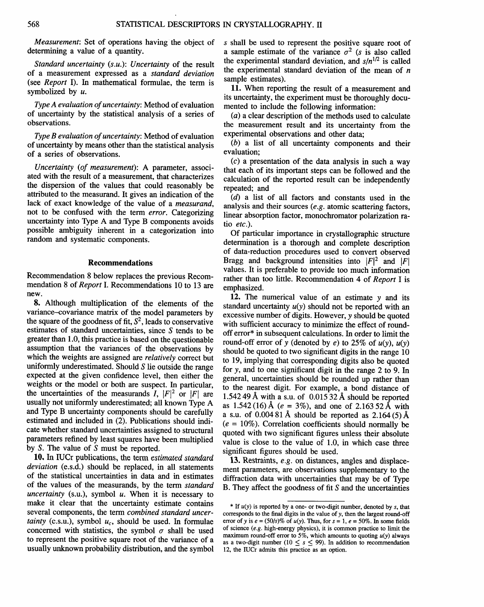*Measurement:* Set of operations having the object of determining a value of a quantity.

*Standard uncertainty* (s.u.): *Uncertainty* of the result of a measurement expressed as a *standard deviation*  (see *Report* I). In mathematical formulae, the term is symbolized by  $u$ .

*Type A evaluation of uncertainty:* Method of evaluation of uncertainty by the statistical analysis of a series of observations.

*Type B evaluation of uncertainty:* Method of evaluation of uncertainty by means other than the statistical analysis of a series of observations.

*Uncertainty (of measurement):* A parameter, associated with the result of a measurement, that characterizes the dispersion of the values that could reasonably be attributed to the measurand. It gives an indication of the lack of exact knowledge of the value of a *measurand,*  not to be confused with the term *error.* Categorizing uncertainty into Type A and Type B components avoids possible ambiguity inherent in a categorization into random and systematic components.

#### **Recommendations**

Recommendation 8 below replaces the previous Recommendation 8 *of Report* I. Recommendations 10 to 13 are new.

8. Although multiplication of the elements of the variance--covariance matrix of the model parameters by the square of the goodness of fit,  $S<sup>2</sup>$ , leads to conservative estimates of standard uncertainties, since S tends to be greater than 1.0, this practice is based on the questionable assumption that the variances of the observations by which the weights are assigned are *relatively* correct but uniformly underestimated. Should  $S$  lie outside the range expected at the given confidence level, then either the weights or the model or both are suspect. In particular, the uncertainties of the measurands I,  $|F|^2$  or  $|F|$  are usually not uniformly underestimated; all known Type A and Type B uncertainty components should be carefully estimated and included in (2). Publications should indicate whether standard uncertainties assigned to structural parameters refined by least squares have been multiplied by S. The value of S must be reported.

10, In IUCr publications, the term *estimated standard deviation* (e.s.d.) should be replaced, in all statements of the statistical uncertainties in data and in estimates of the values of the measurands, by the term *standard uncertainty* (s.u.), symbol u. When it is necessary to make it clear that the uncertainty estimate contains several components, the term *combined standard uncertainty* (c.s.u.), symbol  $u_c$ , should be used. In formulae concerned with statistics, the symbol  $\sigma$  shall be used to represent the positive square root of the variance of a usually unknown probability distribution, and the symbol s shall be used to represent the positive square root of a sample estimate of the variance  $\sigma^2$  (s is also called the experimental standard deviation, and  $s/n^{1/2}$  is called the experimental standard deviation of the mean of  $n$ sample estimates).

11. When reporting the result of a measurement and its uncertainty, the experiment must be thoroughly documented to include the following information:

(a) a clear description of the methods used to calculate the measurement result and its uncertainty from the experimental observations and other data;

(b) a list of all uncertainty components and their evaluation;

(c) a presentation of the data analysis in such a way that each of its important steps can be followed and the calculation of the reported result can be independently repeated; and

(d) a list of all factors and constants used in the analysis and their sources *(e.g.* atomic scattering factors, linear absorption factor, monochromator polarization ratio *etc.).* 

Of particular importance in crystallographic structure determination is a thorough and complete description of data-reduction procedures used to convert observed Bragg and background intensities into  $|F|^2$  and  $|F|$ values. It is preferable to provide too much information rather than too little. Recommendation 4 of *Report* I is emphasized.

12. The numerical value of an estimate y and its standard uncertainty  $u(y)$  should not be reported with an excessive number of digits. However, y should be quoted with sufficient accuracy to minimize the effect of roundoff error\* in subsequent calculations. In order to limit the round-off error of y (denoted by e) to 25% of  $u(y)$ ,  $u(y)$ should be quoted to two significant digits in the range 10 to 19, implying that corresponding digits also be quoted for y, and to one significant digit in the range 2 to 9. In general, uncertainties should be rounded up rather than to the nearest digit. For example, a bond distance of 1.542 49 Å with a s.u. of  $0.01532~\text{\AA}$  should be reported as  $1.542(16)~\text{\AA}$  (e = 3%), and one of 2.163 52 Å with a s.u. of  $0.00481~\text{\AA}$  should be reported as  $2.164(5)~\text{\AA}$  $(e = 10\%)$ . Correlation coefficients should normally be quoted with two significant figures unless their absolute value is close to the value of 1.0, in which case three significant figures should be used.

13. Restraints, *e.g.* on distances, angles and displacement parameters, are observations supplementary to the diffraction data with uncertainties that may be of Type B. They affect the goodness of fit  $S$  and the uncertainties

 $*$  If  $u(y)$  is reported by a one- or two-digit number, denoted by s, that corresponds to the final digits in the value of y, then the largest round-off error of y is  $e = (50/s)\%$  of  $u(y)$ . Thus, for  $s = 1$ ,  $e = 50\%$ . In some fields of science *(e.g.* high-energy physics), it is common practice to limit the maximum round-off error to 5%, which amounts to quoting  $u(y)$  always as a two-digit number (10  $\leq$  s  $\leq$  99). In addition to recommendation 12, the IUCr admits this practice as an option.